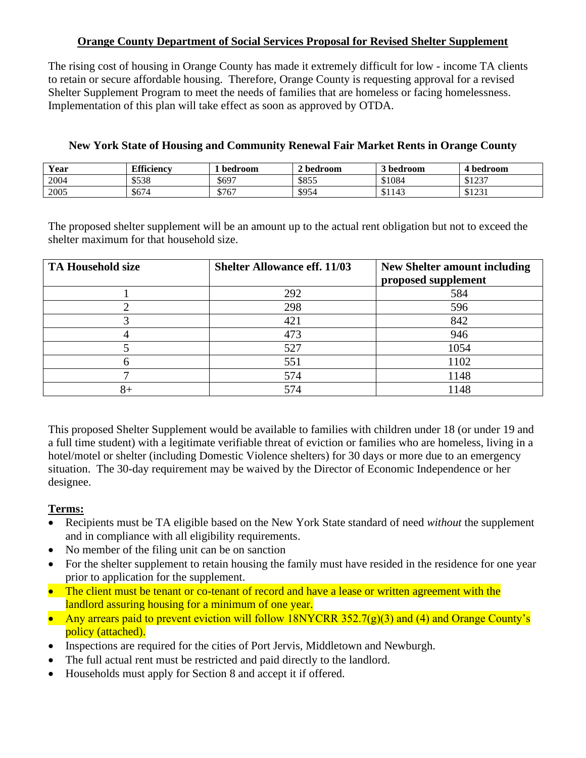## **Orange County Department of Social Services Proposal for Revised Shelter Supplement**

The rising cost of housing in Orange County has made it extremely difficult for low - income TA clients to retain or secure affordable housing. Therefore, Orange County is requesting approval for a revised Shelter Supplement Program to meet the needs of families that are homeless or facing homelessness. Implementation of this plan will take effect as soon as approved by OTDA.

| Year | <b>Efficiency</b> | bedroom | 2 bedroom | 3 bedroom | 4 bedroom |
|------|-------------------|---------|-----------|-----------|-----------|
| 2004 | \$538             | \$697   | \$855     | \$1084    | \$1237    |
| 2005 | \$674             | \$767   | \$954     | \$1143    | \$1231    |

#### **New York State of Housing and Community Renewal Fair Market Rents in Orange County**

The proposed shelter supplement will be an amount up to the actual rent obligation but not to exceed the shelter maximum for that household size.

| <b>TA Household size</b> | <b>Shelter Allowance eff. 11/03</b> | <b>New Shelter amount including</b><br>proposed supplement |
|--------------------------|-------------------------------------|------------------------------------------------------------|
|                          | 292                                 | 584                                                        |
|                          | 298                                 | 596                                                        |
|                          | 421                                 | 842                                                        |
|                          | 473                                 | 946                                                        |
|                          | 527                                 | 1054                                                       |
|                          | 551                                 | 1102                                                       |
|                          | 574                                 | 1148                                                       |
| 8+                       |                                     | 1148                                                       |

This proposed Shelter Supplement would be available to families with children under 18 (or under 19 and a full time student) with a legitimate verifiable threat of eviction or families who are homeless, living in a hotel/motel or shelter (including Domestic Violence shelters) for 30 days or more due to an emergency situation. The 30-day requirement may be waived by the Director of Economic Independence or her designee.

# **Terms:**

- Recipients must be TA eligible based on the New York State standard of need *without* the supplement and in compliance with all eligibility requirements.
- No member of the filing unit can be on sanction
- For the shelter supplement to retain housing the family must have resided in the residence for one year prior to application for the supplement.
- The client must be tenant or co-tenant of record and have a lease or written agreement with the landlord assuring housing for a minimum of one year.
- Any arrears paid to prevent eviction will follow 18NYCRR 352.7( $g$ )(3) and (4) and Orange County's policy (attached).
- Inspections are required for the cities of Port Jervis, Middletown and Newburgh.
- The full actual rent must be restricted and paid directly to the landlord.
- Households must apply for Section 8 and accept it if offered.